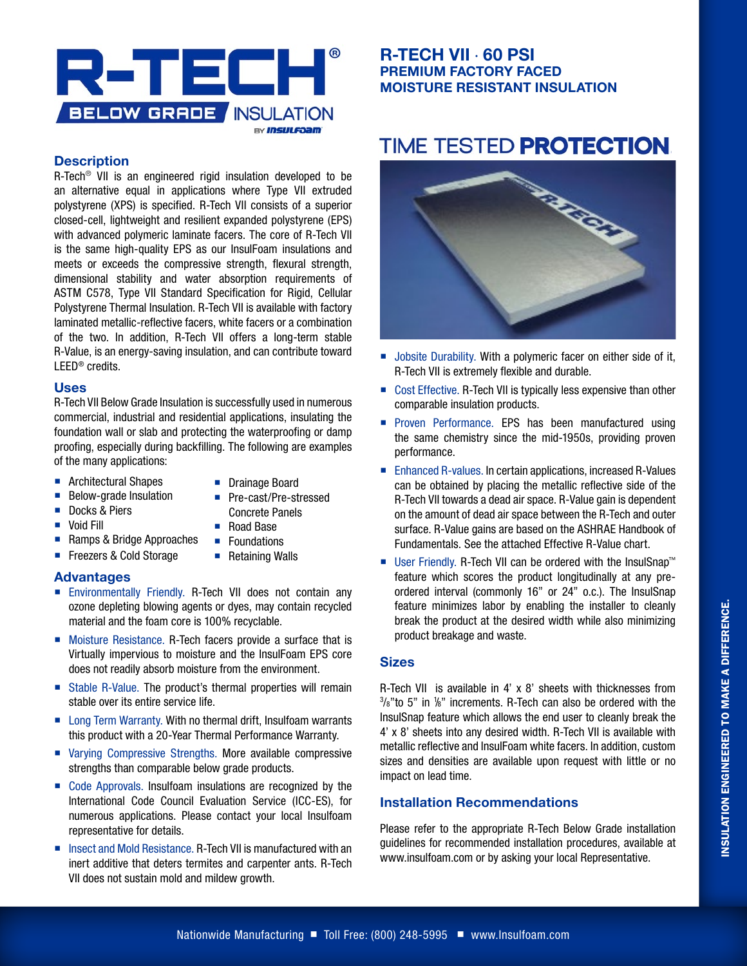

#### **Description**

R-Tech® VII is an engineered rigid insulation developed to be an alternative equal in applications where Type VII extruded polystyrene (XPS) is specified. R-Tech VII consists of a superior closed-cell, lightweight and resilient expanded polystyrene (EPS) with advanced polymeric laminate facers. The core of R-Tech VII is the same high-quality EPS as our InsulFoam insulations and meets or exceeds the compressive strength, flexural strength, dimensional stability and water absorption requirements of ASTM C578, Type VII Standard Specification for Rigid, Cellular Polystyrene Thermal Insulation. R-Tech VII is available with factory laminated metallic-reflective facers, white facers or a combination of the two. In addition, R-Tech VII offers a long-term stable R-Value, is an energy-saving insulation, and can contribute toward LEED® credits.

#### **Uses**

R-Tech VII Below Grade Insulation is successfully used in numerous commercial, industrial and residential applications, insulating the foundation wall or slab and protecting the waterproofing or damp proofing, especially during backfilling. The following are examples of the many applications:

- **Architectural Shapes**
- **Drainage Board**

■ Pre-cast/Pre-stressed

- **Below-grade Insulation**
- Docks & Piers
- **Void Fill**
- Concrete Panels
- Road Base **Foundations**
- Ramps & Bridge Approaches ■ Freezers & Cold Storage
	- Retaining Walls

#### **Advantages**

- **Environmentally Friendly. R-Tech VII does not contain any** ozone depleting blowing agents or dyes, may contain recycled material and the foam core is 100% recyclable.
- Moisture Resistance. R-Tech facers provide a surface that is Virtually impervious to moisture and the InsulFoam EPS core does not readily absorb moisture from the environment.
- Stable R-Value. The product's thermal properties will remain stable over its entire service life.
- Long Term Warranty. With no thermal drift, Insulfoam warrants this product with a 20-Year Thermal Performance Warranty.
- Varving Compressive Strengths. More available compressive strengths than comparable below grade products.
- Code Approvals. Insulfoam insulations are recognized by the International Code Council Evaluation Service (ICC-ES), for numerous applications. Please contact your local Insulfoam representative for details.
- Insect and Mold Resistance. R-Tech VII is manufactured with an inert additive that deters termites and carpenter ants. R-Tech VII does not sustain mold and mildew growth.

## **R-TECH VII** · **60 PSI PREMIUM FACTORY FACED MOISTURE RESISTANT INSULATION**

# **TIME TESTED PROTECTION.**



- Jobsite Durability. With a polymeric facer on either side of it, R-Tech VII is extremely flexible and durable.
- Cost Effective. R-Tech VII is typically less expensive than other comparable insulation products.
- **Proven Performance. EPS has been manufactured using** the same chemistry since the mid-1950s, providing proven performance.
- Enhanced R-values. In certain applications, increased R-Values can be obtained by placing the metallic reflective side of the R-Tech VII towards a dead air space. R-Value gain is dependent on the amount of dead air space between the R-Tech and outer surface. R-Value gains are based on the ASHRAE Handbook of Fundamentals. See the attached Effective R-Value chart.
- User Friendly. R-Tech VII can be ordered with the InsulSnap™ feature which scores the product longitudinally at any preordered interval (commonly 16" or 24" o.c.). The InsulSnap feature minimizes labor by enabling the installer to cleanly break the product at the desired width while also minimizing product breakage and waste.

#### **Sizes**

R-Tech VII is available in 4' x 8' sheets with thicknesses from  $3/8$ " to 5" in  $1/8$ " increments. R-Tech can also be ordered with the InsulSnap feature which allows the end user to cleanly break the 4' x 8' sheets into any desired width. R-Tech VII is available with metallic reflective and InsulFoam white facers. In addition, custom sizes and densities are available upon request with little or no impact on lead time.

#### **Installation Recommendations**

Please refer to the appropriate R-Tech Below Grade installation guidelines for recommended installation procedures, available at www.insulfoam.com or by asking your local Representative.